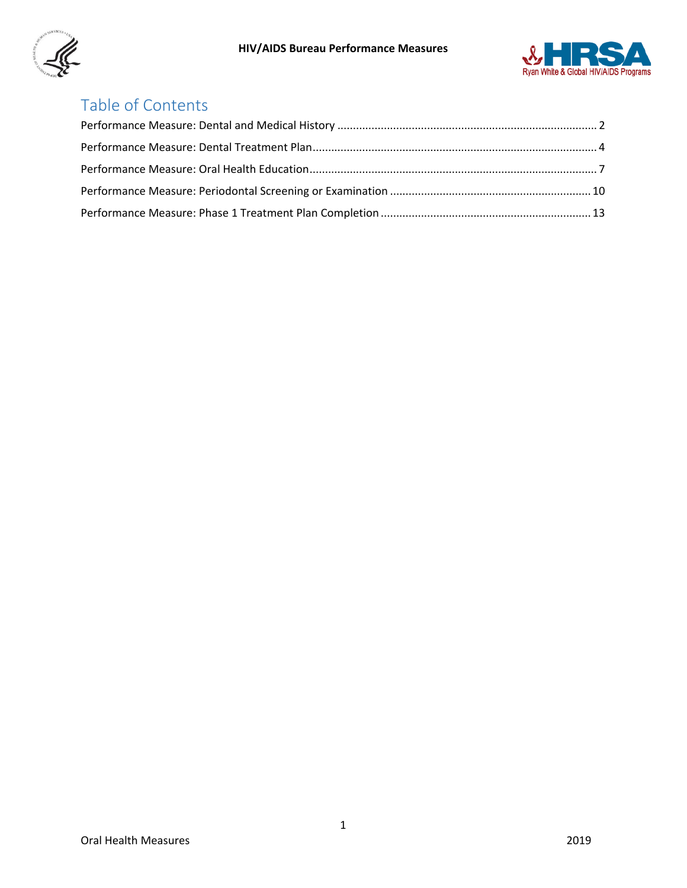



# Table of Contents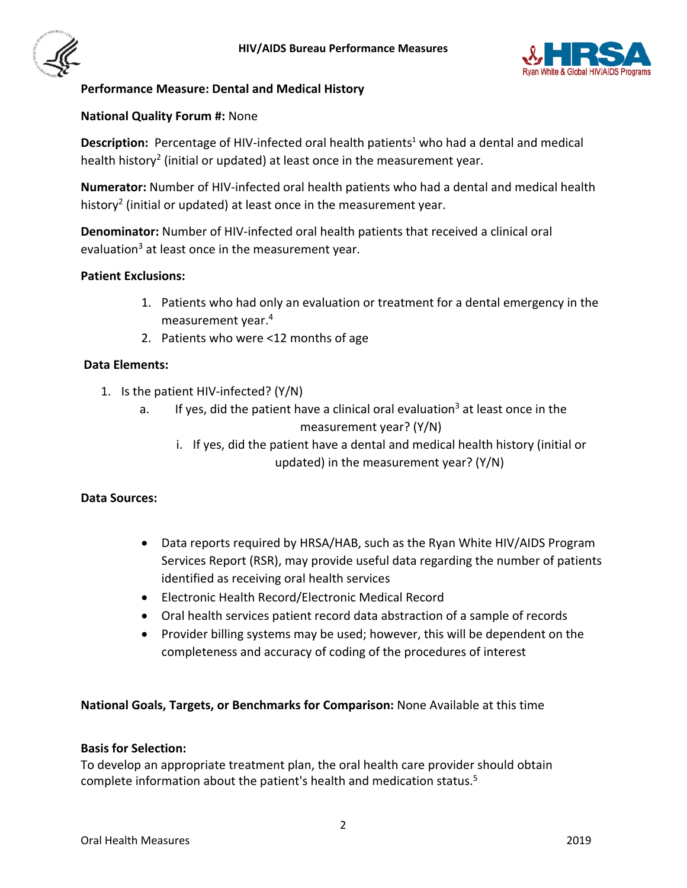



## <span id="page-1-0"></span>**Performance Measure: Dental and Medical History**

#### **National Quality Forum #:** None

Description: Percentage of HIV-infected oral health patients<sup>1</sup> who had a dental and medical health history<sup>2</sup> (initial or updated) at least once in the measurement year.

**Numerator:** Number of HIV-infected oral health patients who had a dental and medical health history<sup>2</sup> (initial or updated) at least once in the measurement year.

**Denominator:** Number of HIV-infected oral health patients that received a clinical oral evaluation<sup>3</sup> at least once in the measurement year.

#### **Patient Exclusions:**

- 1. Patients who had only an evaluation or treatment for a dental emergency in the measurement year.4
- 2. Patients who were <12 months of age

#### **Data Elements:**

- 1. Is the patient HIV-infected? (Y/N)
	- a. If yes, did the patient have a clinical oral evaluation<sup>3</sup> at least once in the measurement year? (Y/N)
		- i. If yes, did the patient have a dental and medical health history (initial or updated) in the measurement year? (Y/N)

#### **Data Sources:**

- Data reports required by HRSA/HAB, such as the Ryan White HIV/AIDS Program Services Report (RSR), may provide useful data regarding the number of patients identified as receiving oral health services
- Electronic Health Record/Electronic Medical Record
- Oral health services patient record data abstraction of a sample of records
- Provider billing systems may be used; however, this will be dependent on the completeness and accuracy of coding of the procedures of interest

## **National Goals, Targets, or Benchmarks for Comparison:** None Available at this time

#### **Basis for Selection:**

To develop an appropriate treatment plan, the oral health care provider should obtain complete information about the patient's health and medication status. 5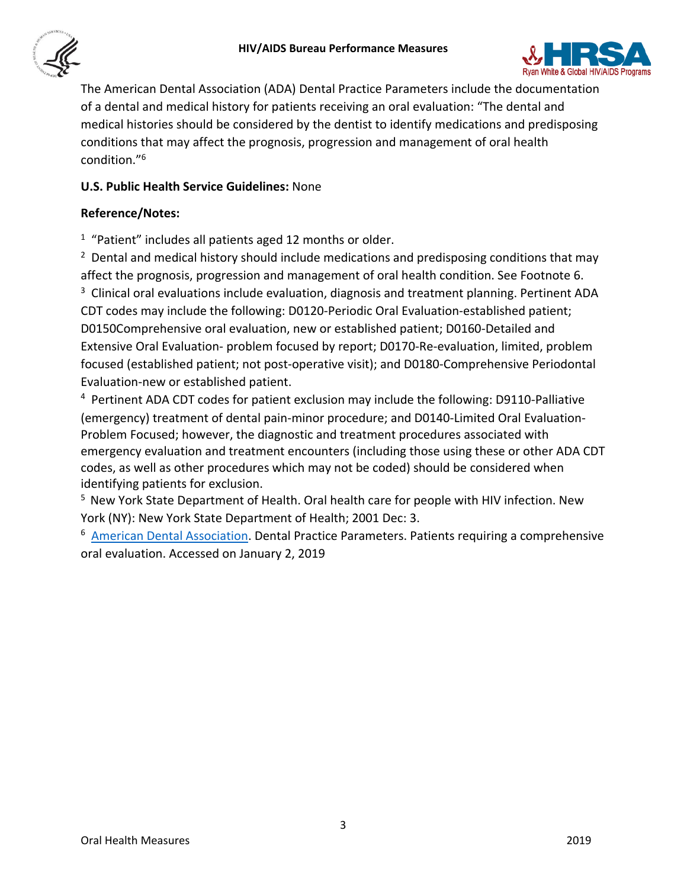



The American Dental Association (ADA) Dental Practice Parameters include the documentation of a dental and medical history for patients receiving an oral evaluation: "The dental and medical histories should be considered by the dentist to identify medications and predisposing conditions that may affect the prognosis, progression and management of oral health condition."6

# **U.S. Public Health Service Guidelines:** None

## **Reference/Notes:**

<sup>1</sup> "Patient" includes all patients aged 12 months or older.

 $2$  Dental and medical history should include medications and predisposing conditions that may affect the prognosis, progression and management of oral health condition. See Footnote 6. 3 <sup>3</sup> Clinical oral evaluations include evaluation, diagnosis and treatment planning. Pertinent ADA CDT codes may include the following: D0120-Periodic Oral Evaluation-established patient; D0150Comprehensive oral evaluation, new or established patient; D0160-Detailed and Extensive Oral Evaluation- problem focused by report; D0170-Re-evaluation, limited, problem focused (established patient; not post-operative visit); and D0180-Comprehensive Periodontal Evaluation-new or established patient.

<sup>4</sup> Pertinent ADA CDT codes for patient exclusion may include the following: D9110-Palliative (emergency) treatment of dental pain-minor procedure; and D0140-Limited Oral Evaluation-Problem Focused; however, the diagnostic and treatment procedures associated with emergency evaluation and treatment encounters (including those using these or other ADA CDT codes, as well as other procedures which may not be coded) should be considered when identifying patients for exclusion.

5 New York State Department of Health. Oral health care for people with HIV infection. New York (NY): New York State Department of Health; 2001 Dec: 3.

<sup>6</sup> [American Dental Association.](http://ada.org/) Dental Practice Parameters. Patients requiring a comprehensive oral evaluation. Accessed on January 2, 2019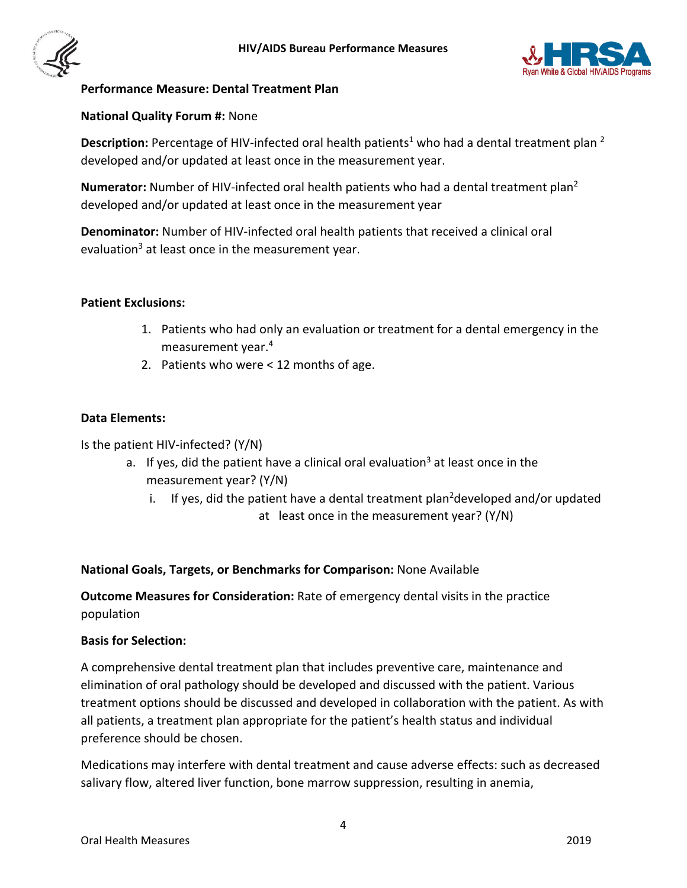



## <span id="page-3-0"></span>**Performance Measure: Dental Treatment Plan**

## **National Quality Forum #:** None

Description: Percentage of HIV-infected oral health patients<sup>1</sup> who had a dental treatment plan <sup>2</sup> developed and/or updated at least once in the measurement year.

**Numerator:** Number of HIV-infected oral health patients who had a dental treatment plan 2 developed and/or updated at least once in the measurement year

**Denominator:** Number of HIV-infected oral health patients that received a clinical oral evaluation<sup>3</sup> at least once in the measurement year.

## **Patient Exclusions:**

- 1. Patients who had only an evaluation or treatment for a dental emergency in the measurement year.4
- 2. Patients who were < 12 months of age.

## **Data Elements:**

Is the patient HIV-infected? (Y/N)

- a. If yes, did the patient have a clinical oral evaluation<sup>3</sup> at least once in the measurement year? (Y/N)
	- i. If yes, did the patient have a dental treatment plan<sup>2</sup>developed and/or updated at least once in the measurement year? (Y/N)

# **National Goals, Targets, or Benchmarks for Comparison:** None Available

**Outcome Measures for Consideration:** Rate of emergency dental visits in the practice population

## **Basis for Selection:**

A comprehensive dental treatment plan that includes preventive care, maintenance and elimination of oral pathology should be developed and discussed with the patient. Various treatment options should be discussed and developed in collaboration with the patient. As with all patients, a treatment plan appropriate for the patient's health status and individual preference should be chosen.

Medications may interfere with dental treatment and cause adverse effects: such as decreased salivary flow, altered liver function, bone marrow suppression, resulting in anemia,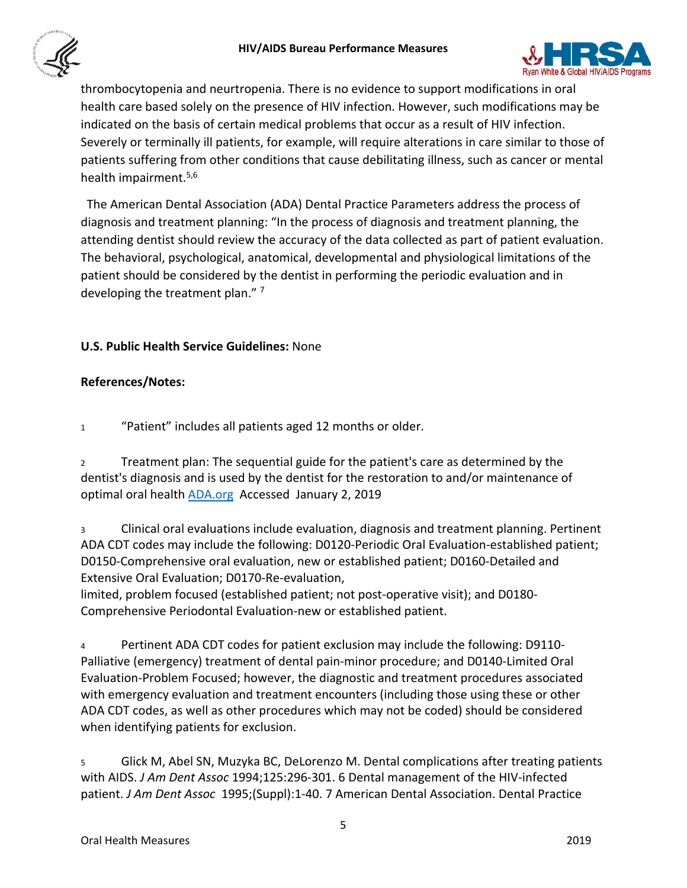



thrombocytopenia and neurtropenia. There is no evidence to support modifications in oral health care based solely on the presence of HIV infection. However, such modifications may be indicated on the basis of certain medical problems that occur as a result of HIV infection. Severely or terminally ill patients, for example, will require alterations in care similar to those of patients suffering from other conditions that cause debilitating illness, such as cancer or mental health impairment.<sup>5,6</sup>

 The American Dental Association (ADA) Dental Practice Parameters address the process of diagnosis and treatment planning: "In the process of diagnosis and treatment planning, the attending dentist should review the accuracy of the data collected as part of patient evaluation. The behavioral, psychological, anatomical, developmental and physiological limitations of the patient should be considered by the dentist in performing the periodic evaluation and in developing the treatment plan." 7

## **U.S. Public Health Service Guidelines:** None

## **References/Notes:**

<sup>1</sup> "Patient" includes all patients aged 12 months or older.

<sup>2</sup> Treatment plan: The sequential guide for the patient's care as determined by the dentist's diagnosis and is used by the dentist for the restoration to and/or maintenance of optimal oral healt[h ADA.org](http://www.ada.org/) Accessed January 2, 2019

<sup>3</sup> Clinical oral evaluations include evaluation, diagnosis and treatment planning. Pertinent ADA CDT codes may include the following: D0120-Periodic Oral Evaluation-established patient; D0150-Comprehensive oral evaluation, new or established patient; D0160-Detailed and Extensive Oral Evaluation; D0170-Re-evaluation,

limited, problem focused (established patient; not post-operative visit); and D0180- Comprehensive Periodontal Evaluation-new or established patient.

<sup>4</sup> Pertinent ADA CDT codes for patient exclusion may include the following: D9110- Palliative (emergency) treatment of dental pain-minor procedure; and D0140-Limited Oral Evaluation-Problem Focused; however, the diagnostic and treatment procedures associated with emergency evaluation and treatment encounters (including those using these or other ADA CDT codes, as well as other procedures which may not be coded) should be considered when identifying patients for exclusion.

<sup>5</sup> Glick M, Abel SN, Muzyka BC, DeLorenzo M. Dental complications after treating patients with AIDS. *J Am Dent Assoc* 1994;125:296-301. 6 Dental management of the HIV-infected patient. *J Am Dent Assoc* 1995;(Suppl):1-40. 7 American Dental Association. Dental Practice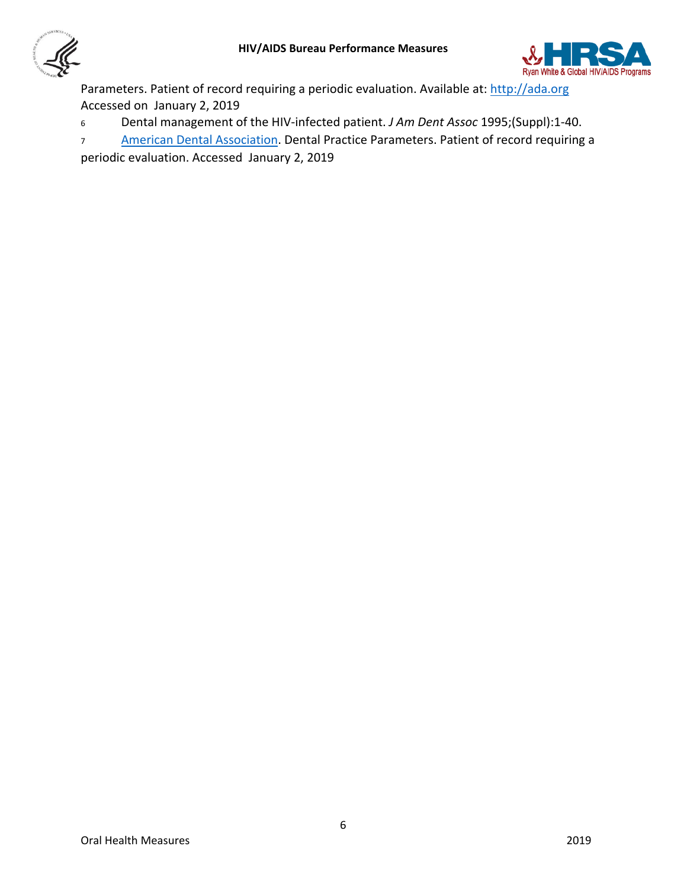



Parameters. Patient of record requiring a periodic evaluation. Available at: [http://ada.org](http://ada.org/)  Accessed on January 2, 2019

- <sup>6</sup> Dental management of the HIV-infected patient. *J Am Dent Assoc* 1995;(Suppl):1-40.
- 7 [American Dental Association.](http://www.ada.org/en) Dental Practice Parameters. Patient of record requiring a

periodic evaluation. Accessed January 2, 2019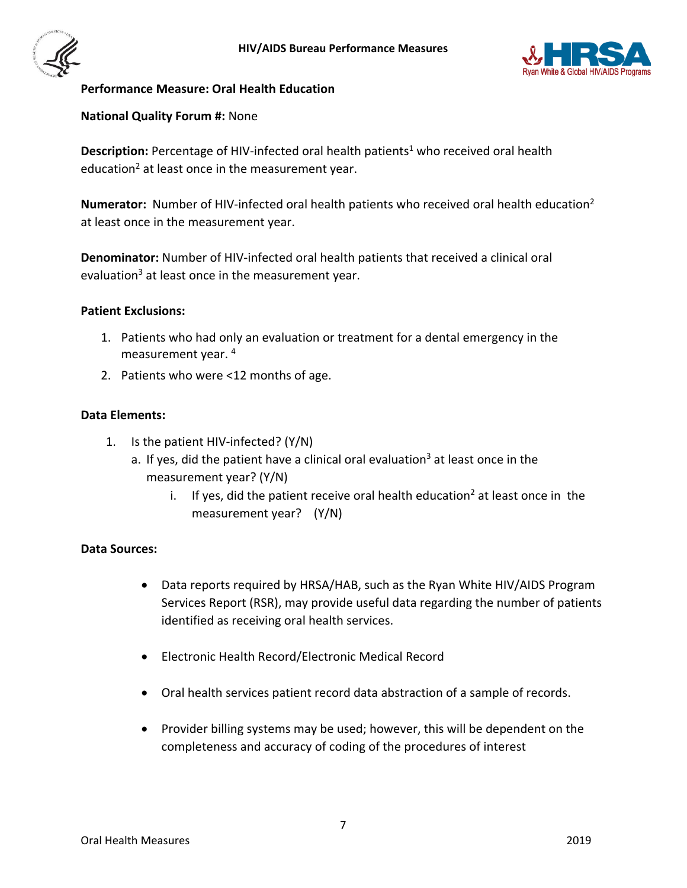



## <span id="page-6-0"></span>**Performance Measure: Oral Health Education**

#### **National Quality Forum #:** None

Description: Percentage of HIV-infected oral health patients<sup>1</sup> who received oral health education<sup>2</sup> at least once in the measurement year.

**Numerator:** Number of HIV-infected oral health patients who received oral health education2 at least once in the measurement year.

**Denominator:** Number of HIV-infected oral health patients that received a clinical oral evaluation<sup>3</sup> at least once in the measurement year.

#### **Patient Exclusions:**

- 1. Patients who had only an evaluation or treatment for a dental emergency in the measurement year. 4
- 2. Patients who were <12 months of age.

#### **Data Elements:**

- 1. Is the patient HIV-infected? (Y/N)
	- a. If yes, did the patient have a clinical oral evaluation<sup>3</sup> at least once in the measurement year? (Y/N)
		- i. If yes, did the patient receive oral health education<sup>2</sup> at least once in the measurement year? (Y/N)

## **Data Sources:**

- Data reports required by HRSA/HAB, such as the Ryan White HIV/AIDS Program Services Report (RSR), may provide useful data regarding the number of patients identified as receiving oral health services.
- Electronic Health Record/Electronic Medical Record
- Oral health services patient record data abstraction of a sample of records.
- Provider billing systems may be used; however, this will be dependent on the completeness and accuracy of coding of the procedures of interest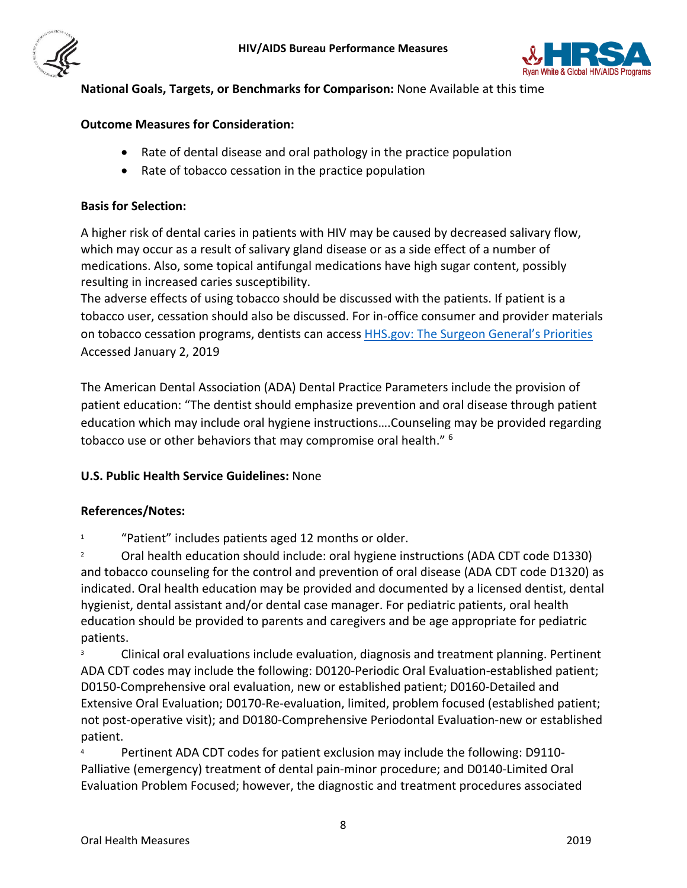



# **National Goals, Targets, or Benchmarks for Comparison:** None Available at this time

## **Outcome Measures for Consideration:**

- Rate of dental disease and oral pathology in the practice population
- Rate of tobacco cessation in the practice population

#### **Basis for Selection:**

A higher risk of dental caries in patients with HIV may be caused by decreased salivary flow, which may occur as a result of salivary gland disease or as a side effect of a number of medications. Also, some topical antifungal medications have high sugar content, possibly resulting in increased caries susceptibility.

The adverse effects of using tobacco should be discussed with the patients. If patient is a tobacco user, cessation should also be discussed. For in-office consumer and provider materials on tobacco cessation programs, dentists can access [HHS.gov: The Surgeon General's Priorities](https://www.surgeongeneral.gov/priorities/index.html#tobacco) Accessed January 2, 2019

The American Dental Association (ADA) Dental Practice Parameters include the provision of patient education: "The dentist should emphasize prevention and oral disease through patient education which may include oral hygiene instructions….Counseling may be provided regarding tobacco use or other behaviors that may compromise oral health." 6

## **U.S. Public Health Service Guidelines:** None

## **References/Notes:**

"Patient" includes patients aged 12 months or older.

<sup>2</sup> Oral health education should include: oral hygiene instructions (ADA CDT code D1330) and tobacco counseling for the control and prevention of oral disease (ADA CDT code D1320) as indicated. Oral health education may be provided and documented by a licensed dentist, dental hygienist, dental assistant and/or dental case manager. For pediatric patients, oral health education should be provided to parents and caregivers and be age appropriate for pediatric patients.

<sup>3</sup> Clinical oral evaluations include evaluation, diagnosis and treatment planning. Pertinent ADA CDT codes may include the following: D0120-Periodic Oral Evaluation-established patient; D0150-Comprehensive oral evaluation, new or established patient; D0160-Detailed and Extensive Oral Evaluation; D0170-Re-evaluation, limited, problem focused (established patient; not post-operative visit); and D0180-Comprehensive Periodontal Evaluation-new or established patient.

Pertinent ADA CDT codes for patient exclusion may include the following: D9110-Palliative (emergency) treatment of dental pain-minor procedure; and D0140-Limited Oral Evaluation Problem Focused; however, the diagnostic and treatment procedures associated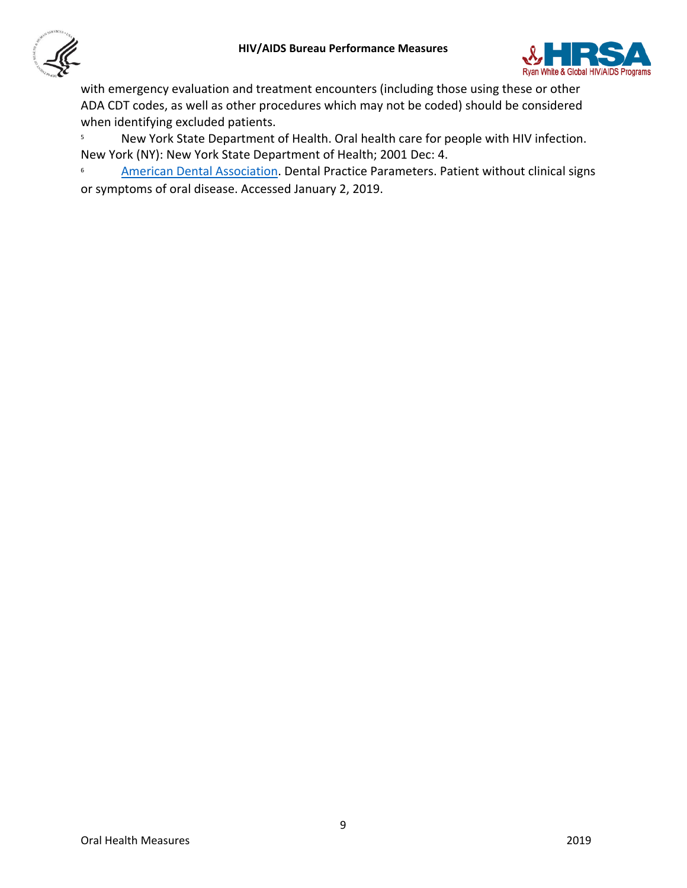



with emergency evaluation and treatment encounters (including those using these or other ADA CDT codes, as well as other procedures which may not be coded) should be considered when identifying excluded patients.

<sup>5</sup> New York State Department of Health. Oral health care for people with HIV infection. New York (NY): New York State Department of Health; 2001 Dec: 4.

<sup>6</sup> [American Dental Association.](http://ada.org/) Dental Practice Parameters. Patient without clinical signs or symptoms of oral disease. Accessed January 2, 2019.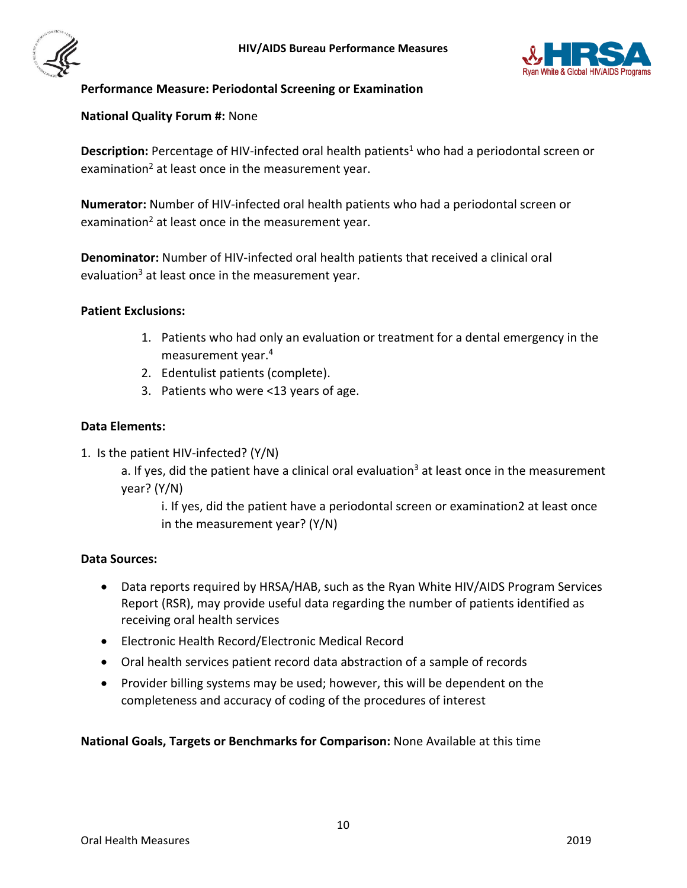



## <span id="page-9-0"></span>**Performance Measure: Periodontal Screening or Examination**

## **National Quality Forum #:** None

Description: Percentage of HIV-infected oral health patients<sup>1</sup> who had a periodontal screen or examination<sup>2</sup> at least once in the measurement year.

**Numerator:** Number of HIV-infected oral health patients who had a periodontal screen or examination<sup>2</sup> at least once in the measurement year.

**Denominator:** Number of HIV-infected oral health patients that received a clinical oral evaluation<sup>3</sup> at least once in the measurement year.

## **Patient Exclusions:**

- 1. Patients who had only an evaluation or treatment for a dental emergency in the measurement year.4
- 2. Edentulist patients (complete).
- 3. Patients who were <13 years of age.

#### **Data Elements:**

1. Is the patient HIV-infected? (Y/N)

a. If yes, did the patient have a clinical oral evaluation<sup>3</sup> at least once in the measurement year? (Y/N)

i. If yes, did the patient have a periodontal screen or examination2 at least once in the measurement year? (Y/N)

#### **Data Sources:**

- Data reports required by HRSA/HAB, such as the Ryan White HIV/AIDS Program Services Report (RSR), may provide useful data regarding the number of patients identified as receiving oral health services
- Electronic Health Record/Electronic Medical Record
- Oral health services patient record data abstraction of a sample of records
- Provider billing systems may be used; however, this will be dependent on the completeness and accuracy of coding of the procedures of interest

**National Goals, Targets or Benchmarks for Comparison:** None Available at this time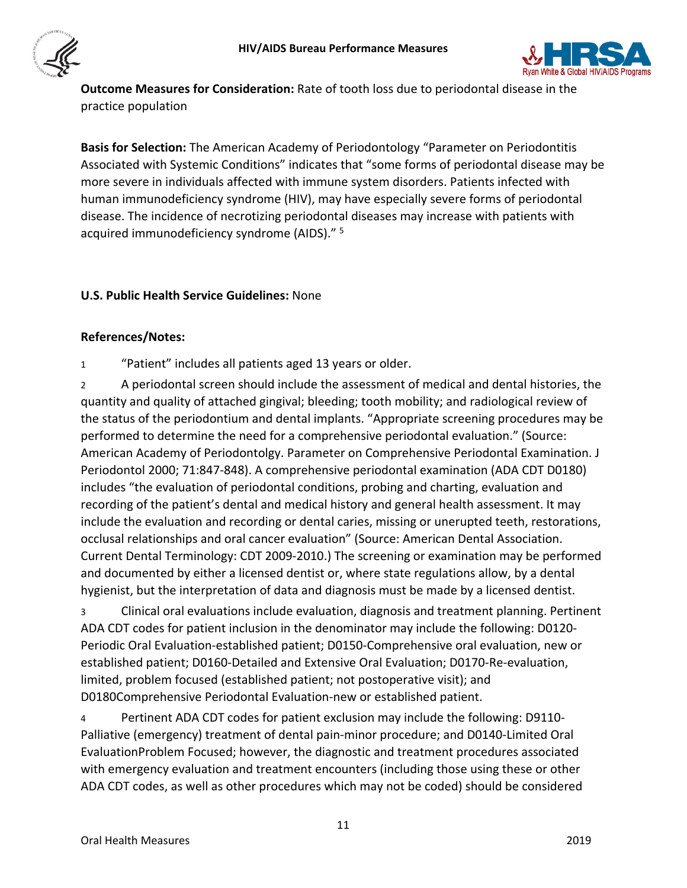



**Outcome Measures for Consideration:** Rate of tooth loss due to periodontal disease in the practice population

**Basis for Selection:** The American Academy of Periodontology "Parameter on Periodontitis Associated with Systemic Conditions" indicates that "some forms of periodontal disease may be more severe in individuals affected with immune system disorders. Patients infected with human immunodeficiency syndrome (HIV), may have especially severe forms of periodontal disease. The incidence of necrotizing periodontal diseases may increase with patients with acquired immunodeficiency syndrome (AIDS)." <sup>5</sup>

# **U.S. Public Health Service Guidelines:** None

# **References/Notes:**

1 "Patient" includes all patients aged 13 years or older.

2 A periodontal screen should include the assessment of medical and dental histories, the quantity and quality of attached gingival; bleeding; tooth mobility; and radiological review of the status of the periodontium and dental implants. "Appropriate screening procedures may be performed to determine the need for a comprehensive periodontal evaluation." (Source: American Academy of Periodontolgy. Parameter on Comprehensive Periodontal Examination. J Periodontol 2000; 71:847-848). A comprehensive periodontal examination (ADA CDT D0180) includes "the evaluation of periodontal conditions, probing and charting, evaluation and recording of the patient's dental and medical history and general health assessment. It may include the evaluation and recording or dental caries, missing or unerupted teeth, restorations, occlusal relationships and oral cancer evaluation" (Source: American Dental Association. Current Dental Terminology: CDT 2009-2010.) The screening or examination may be performed and documented by either a licensed dentist or, where state regulations allow, by a dental hygienist, but the interpretation of data and diagnosis must be made by a licensed dentist.

3 Clinical oral evaluations include evaluation, diagnosis and treatment planning. Pertinent ADA CDT codes for patient inclusion in the denominator may include the following: D0120- Periodic Oral Evaluation-established patient; D0150-Comprehensive oral evaluation, new or established patient; D0160-Detailed and Extensive Oral Evaluation; D0170-Re-evaluation, limited, problem focused (established patient; not postoperative visit); and D0180Comprehensive Periodontal Evaluation-new or established patient.

4 Pertinent ADA CDT codes for patient exclusion may include the following: D9110- Palliative (emergency) treatment of dental pain-minor procedure; and D0140-Limited Oral EvaluationProblem Focused; however, the diagnostic and treatment procedures associated with emergency evaluation and treatment encounters (including those using these or other ADA CDT codes, as well as other procedures which may not be coded) should be considered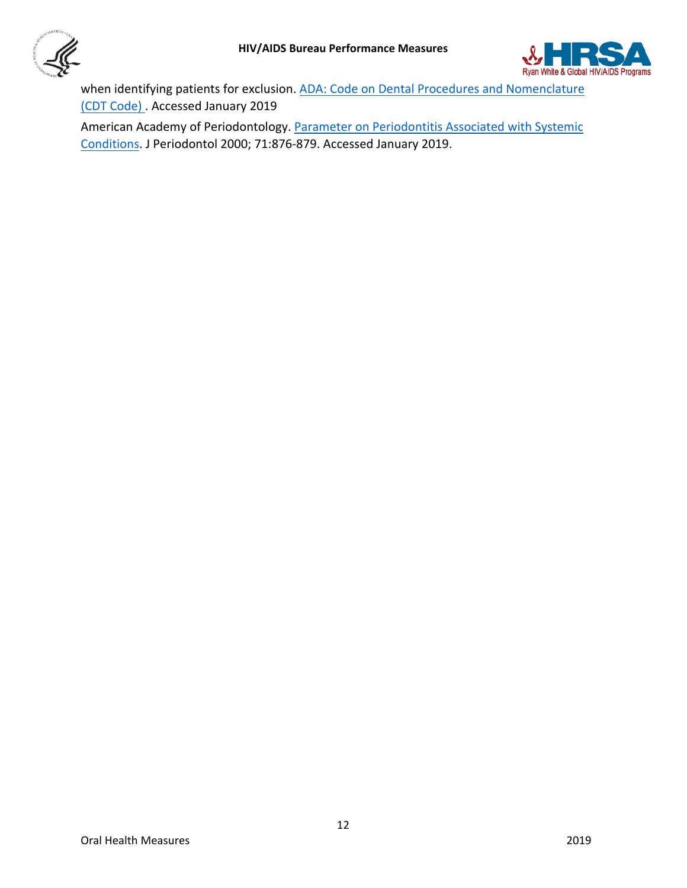



when identifying patients for exclusion. ADA: Code on Dental Procedures and Nomenclature [\(CDT Code\) .](http://www.ada.org/en/publications/cdt) Accessed January 2019

American Academy of Periodontology. [Parameter on Periodontitis Associated with Systemic](https://www.ncbi.nlm.nih.gov/pubmed/10875698)  [Conditions.](https://www.ncbi.nlm.nih.gov/pubmed/10875698) J Periodontol 2000; 71:876-879. Accessed January 2019.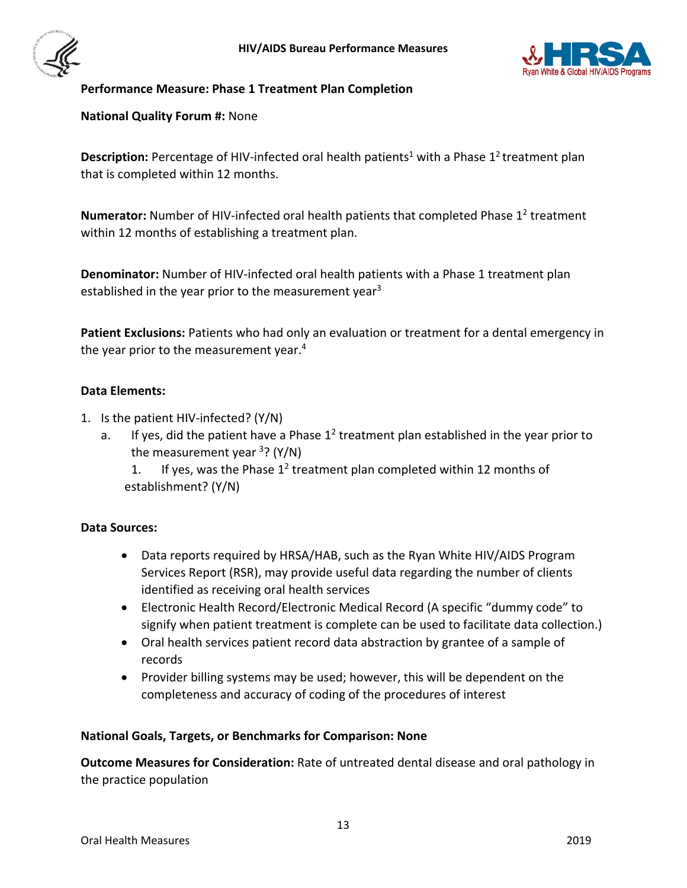



## <span id="page-12-0"></span>**Performance Measure: Phase 1 Treatment Plan Completion**

**National Quality Forum #:** None

**Description:** Percentage of HIV-infected oral health patients<sup>1</sup> with a Phase 1<sup>2</sup> treatment plan that is completed within 12 months.

**Numerator:** Number of HIV-infected oral health patients that completed Phase 1<sup>2</sup> treatment within 12 months of establishing a treatment plan.

**Denominator:** Number of HIV-infected oral health patients with a Phase 1 treatment plan established in the year prior to the measurement year<sup>3</sup>

**Patient Exclusions:** Patients who had only an evaluation or treatment for a dental emergency in the year prior to the measurement year.<sup>4</sup>

## **Data Elements:**

- 1. Is the patient HIV-infected? (Y/N)
	- a. If yes, did the patient have a Phase  $1^2$  treatment plan established in the year prior to the measurement year  $3$ ? (Y/N)

1. If yes, was the Phase  $1<sup>2</sup>$  treatment plan completed within 12 months of establishment? (Y/N)

## **Data Sources:**

- Data reports required by HRSA/HAB, such as the Ryan White HIV/AIDS Program Services Report (RSR), may provide useful data regarding the number of clients identified as receiving oral health services
- Electronic Health Record/Electronic Medical Record (A specific "dummy code" to signify when patient treatment is complete can be used to facilitate data collection.)
- Oral health services patient record data abstraction by grantee of a sample of records
- Provider billing systems may be used; however, this will be dependent on the completeness and accuracy of coding of the procedures of interest

## **National Goals, Targets, or Benchmarks for Comparison: None**

**Outcome Measures for Consideration:** Rate of untreated dental disease and oral pathology in the practice population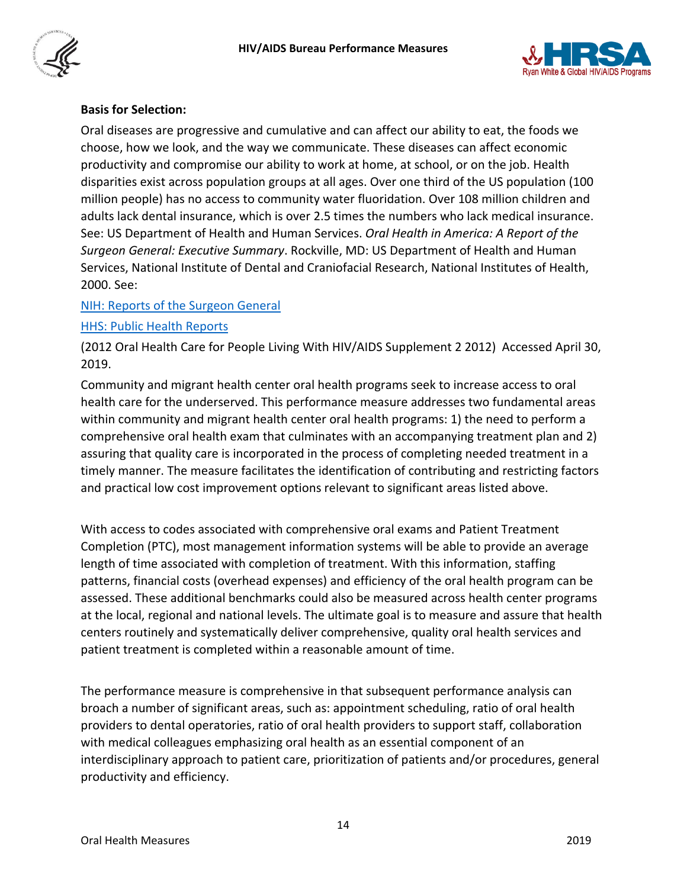



# **Basis for Selection:**

Oral diseases are progressive and cumulative and can affect our ability to eat, the foods we choose, how we look, and the way we communicate. These diseases can affect economic productivity and compromise our ability to work at home, at school, or on the job. Health disparities exist across population groups at all ages. Over one third of the US population (100 million people) has no access to community water fluoridation. Over 108 million children and adults lack dental insurance, which is over 2.5 times the numbers who lack medical insurance. See: US Department of Health and Human Services. *Oral Health in America: A Report of the Surgeon General: Executive Summary*. Rockville, MD: US Department of Health and Human Services, National Institute of Dental and Craniofacial Research, National Institutes of Health, 2000. See:

## [NIH: Reports of the Surgeon General](https://profiles.nlm.nih.gov/ps/retrieve/ResourceMetadata/NNBBJT/)

## [HHS: Public Health Reports](https://www.surgeongeneral.gov/library/publichealthreports/archive.html)

(2012 Oral Health Care for People Living With HIV/AIDS Supplement 2 2012) Accessed April 30, 2019.

Community and migrant health center oral health programs seek to increase access to oral health care for the underserved. This performance measure addresses two fundamental areas within community and migrant health center oral health programs: 1) the need to perform a comprehensive oral health exam that culminates with an accompanying treatment plan and 2) assuring that quality care is incorporated in the process of completing needed treatment in a timely manner. The measure facilitates the identification of contributing and restricting factors and practical low cost improvement options relevant to significant areas listed above.

With access to codes associated with comprehensive oral exams and Patient Treatment Completion (PTC), most management information systems will be able to provide an average length of time associated with completion of treatment. With this information, staffing patterns, financial costs (overhead expenses) and efficiency of the oral health program can be assessed. These additional benchmarks could also be measured across health center programs at the local, regional and national levels. The ultimate goal is to measure and assure that health centers routinely and systematically deliver comprehensive, quality oral health services and patient treatment is completed within a reasonable amount of time.

The performance measure is comprehensive in that subsequent performance analysis can broach a number of significant areas, such as: appointment scheduling, ratio of oral health providers to dental operatories, ratio of oral health providers to support staff, collaboration with medical colleagues emphasizing oral health as an essential component of an interdisciplinary approach to patient care, prioritization of patients and/or procedures, general productivity and efficiency.